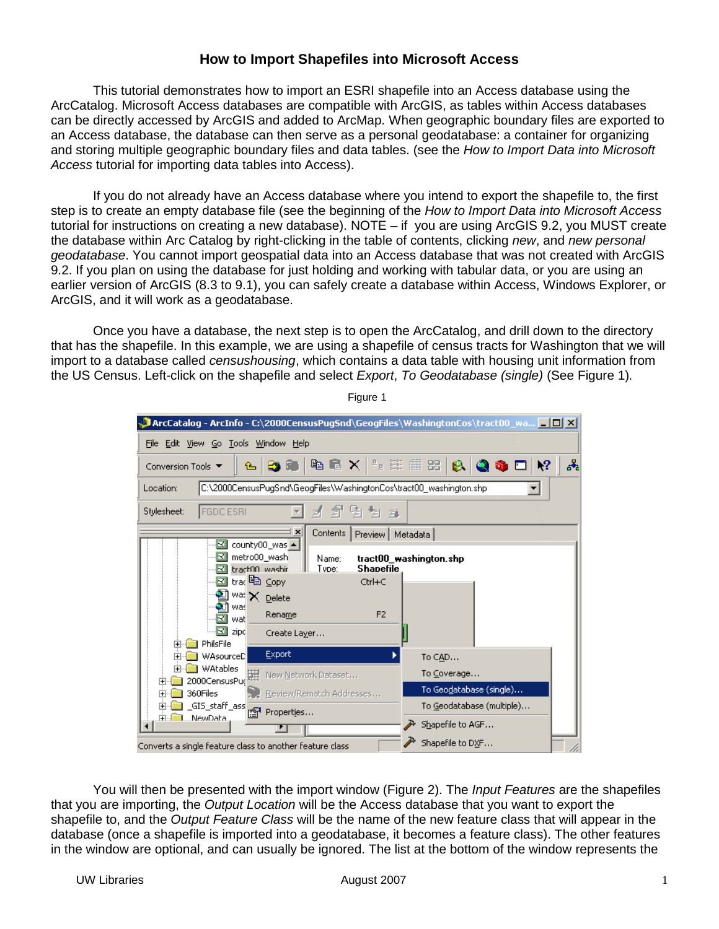## **How to Import Shapefiles into Microsoft Access**

This tutorial demonstrates how to import an ESRI shapefile into an Access database using the ArcCatalog. Microsoft Access databases are compatible with ArcGIS, as tables within Access databases can be directly accessed by ArcGIS and added to ArcMap. When geographic boundary files are exported to an Access database, the database can then serve as a personal geodatabase: a container for organizing and storing multiple geographic boundary files and data tables. (see the How to Import Data into Microsoft Access tutorial for importing data tables into Access).

If you do not already have an Access database where you intend to export the shapefile to, the first step is to create an empty database file (see the beginning of the How to Import Data into Microsoft Access tutorial for instructions on creating a new database). NOTE – if you are using ArcGIS 9.2, you MUST create the database within Arc Catalog by right-clicking in the table of contents, clicking new, and new personal geodatabase. You cannot import geospatial data into an Access database that was not created with ArcGIS 9.2. If you plan on using the database for just holding and working with tabular data, or you are using an earlier version of ArcGIS (8.3 to 9.1), you can safely create a database within Access, Windows Explorer, or ArcGIS, and it will work as a geodatabase.

Once you have a database, the next step is to open the ArcCatalog, and drill down to the directory that has the shapefile. In this example, we are using a shapefile of census tracts for Washington that we will import to a database called censushousing, which contains a data table with housing unit information from the US Census. Left-click on the shapefile and select *Export*, To Geodatabase (single) (See Figure 1).

| <b>ArcCatalog - ArcInfo - C:\2000CensusPugSnd\GeogFiles\WashingtonCos\tract00_wa _ _ _ _ X</b> |                                                              |  |  |  |  |
|------------------------------------------------------------------------------------------------|--------------------------------------------------------------|--|--|--|--|
| File Edit View Go Tools Window Help                                                            |                                                              |  |  |  |  |
| <b>4 B X LE H H B B Q S D Y</b><br>晶<br>$\mathbf{B}$<br>。<br>Conversion Tools ▼                |                                                              |  |  |  |  |
| C:\2000CensusPugSnd\GeogFiles\WashingtonCos\tract00_washington.shp<br>Location:                |                                                              |  |  |  |  |
| <b>FGDC ESRI</b><br>Stylesheet:                                                                | 倒倒耳<br>$\hat{\mathbb{E}}$<br>E.                              |  |  |  |  |
| Contents  <br>×<br>Preview   Metadata  <br>county00_was ▲<br>о                                 |                                                              |  |  |  |  |
| o<br>metro00_wash<br><b>B3</b> tract00 washir                                                  | tract00_washington.shp<br>Name:<br><b>Shapefile</b><br>Tvpe: |  |  |  |  |
| ⊠ trad ≌ Copy                                                                                  | Ctrl+C                                                       |  |  |  |  |
| 웹 <sup>was</sup> X pelete<br>웹 was                                                             |                                                              |  |  |  |  |
| Rename<br>Ω<br>wat                                                                             | F <sub>2</sub>                                               |  |  |  |  |
| $\Box$ zipo<br>Create Layer                                                                    |                                                              |  |  |  |  |
| PhilsFile<br><b>Export</b><br>WAsourceD                                                        | To CAD                                                       |  |  |  |  |
| <b>WAtables</b><br>镼                                                                           | To Coverage<br>New Network Dataset                           |  |  |  |  |
| 2000CensusPud<br>360Files                                                                      | To Geo <u>d</u> atabase (single)<br>Review/Rematch Addresses |  |  |  |  |
| _GIS_staff_ass<br>?<br>Properties                                                              | To Geodatabase (multiple)                                    |  |  |  |  |
| NewData.<br>中國                                                                                 | Shapefile to AGF                                             |  |  |  |  |
| Shapefile to DXF<br>Converts a single feature class to another feature class                   |                                                              |  |  |  |  |

Figure 1

You will then be presented with the import window (Figure 2). The *Input Features* are the shapefiles that you are importing, the Output Location will be the Access database that you want to export the shapefile to, and the Output Feature Class will be the name of the new feature class that will appear in the database (once a shapefile is imported into a geodatabase, it becomes a feature class). The other features in the window are optional, and can usually be ignored. The list at the bottom of the window represents the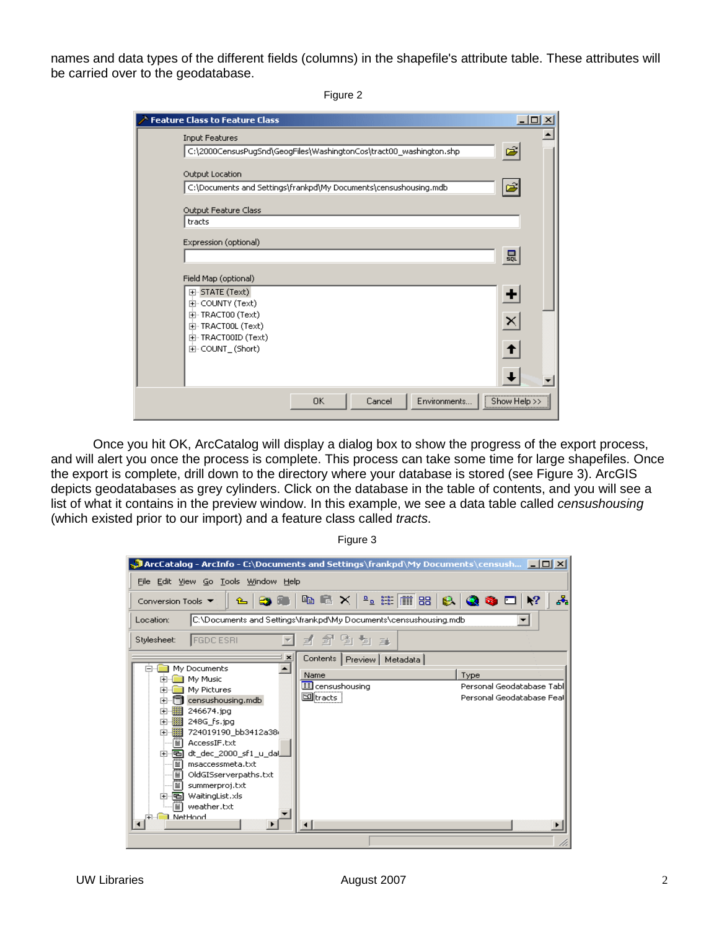names and data types of the different fields (columns) in the shapefile's attribute table. These attributes will be carried over to the geodatabase.

Figure 2

| <b>Feature Class to Feature Class</b>                                                       |              |
|---------------------------------------------------------------------------------------------|--------------|
| <b>Input Features</b><br>C:\2000CensusPugSnd\GeogFiles\WashingtonCos\tract00_washington.shp | Ê            |
| Output Location<br>C:\Documents and Settings\frankpd\My Documents\censushousing.mdb         | එ            |
| Output Feature Class<br>tracts                                                              |              |
| Expression (optional)                                                                       | 昷            |
| Field Map (optional)<br>田· STATE (Text)<br>由- COUNTY (Text)                                 | ٠            |
| 由 TRACT00 (Text)<br>由 TRACTOOL (Text)<br>由 TRACT00ID (Text)                                 | ×            |
| 由 COUNT_(Short)                                                                             |              |
| 0K<br>Environments<br>Cancel                                                                | Show Help >: |

Once you hit OK, ArcCatalog will display a dialog box to show the progress of the export process, and will alert you once the process is complete. This process can take some time for large shapefiles. Once the export is complete, drill down to the directory where your database is stored (see Figure 3). ArcGIS depicts geodatabases as grey cylinders. Click on the database in the table of contents, and you will see a list of what it contains in the preview window. In this example, we see a data table called censushousing (which existed prior to our import) and a feature class called tracts.

> **Al ArcCatalog - ArcInfo - C:**\Documents and Settings\frankpd\My Documents\censush... **|\_ | 0 | X |** File Edit View Go Tools Window Help  $\mathbf{s}^2$ **BS RB Na na × | 2, 2 11 11 88**  $\mathbf{R}^2$ Conversion Tools ▼  $\hat{r}$ e I  $\bullet$   $\bullet$   $\Box$ Location: C:\Documents and Settings\frankpd\My Documents\censushousing.mdb  $\overline{\mathbf{r}}$ 1995 x Stylesheet: **FGDC ESRI**  $\overline{\phantom{a}}$ × Contents | Preview | Metadata | 白 My Documents ◚ Name Type E-**Red** My Music **ED** censushousing Personal Geodatabase Tabl 中 My Pictures  $\Box$ <sub>tracts</sub> Personal Geodatabase Feal  $\overline{+}$   $\overline{=}$  censushousing mdb 中**翻** 246674.jpg 中图 248G\_fs.jpg  $\frac{1}{11}$   $\frac{1}{24019190}$  bb3412a38 - AccessIF.txt 中**画** dt\_dec\_2000\_sf1\_u\_dal đ msaccessmeta.txt fi OldGISserverpaths.txt ð summerproj.txt 中**画** WaitingList.xls -<mark>≝)</mark> weather.txt NetHood  $\blacktriangleright$

Figure 3